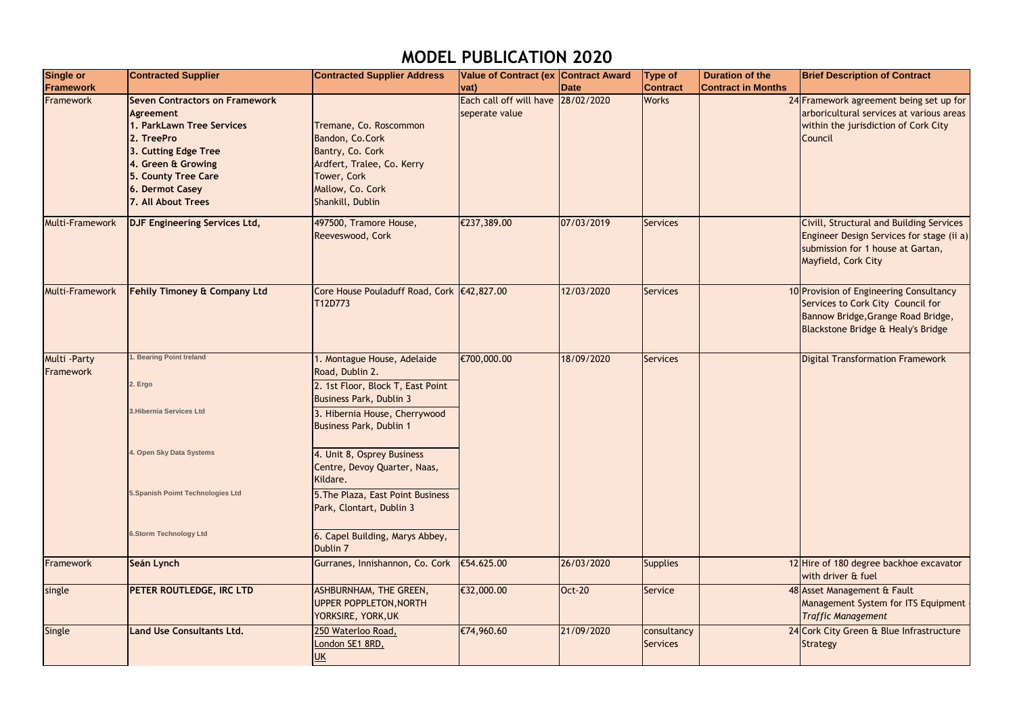| <b>Single or</b><br>Framework | <b>Contracted Supplier</b>                                                                                                                                                                                  | <b>Contracted Supplier Address</b>                                                                                                                                                                                                                                                                                                  | <b>Value of Contract (ex Contract Award</b><br>$\mathsf{vat}$ | Date          | <b>Type of</b><br><b>Contract</b> | <b>Duration of the</b><br><b>Contract in Months</b> | <b>Brief Description of Contract</b>                                                                                                                     |
|-------------------------------|-------------------------------------------------------------------------------------------------------------------------------------------------------------------------------------------------------------|-------------------------------------------------------------------------------------------------------------------------------------------------------------------------------------------------------------------------------------------------------------------------------------------------------------------------------------|---------------------------------------------------------------|---------------|-----------------------------------|-----------------------------------------------------|----------------------------------------------------------------------------------------------------------------------------------------------------------|
| Framework                     | <b>Seven Contractors on Framework</b><br>Agreement<br>1. ParkLawn Tree Services<br>2. TreePro<br>3. Cutting Edge Tree<br>4. Green & Growing<br>5. County Tree Care<br>6. Dermot Casey<br>7. All About Trees | Tremane, Co. Roscommon<br>Bandon, Co.Cork<br>Bantry, Co. Cork<br>Ardfert, Tralee, Co. Kerry<br>Tower, Cork<br>Mallow, Co. Cork<br>Shankill, Dublin                                                                                                                                                                                  | Each call off will have 28/02/2020<br>seperate value          |               | <b>Works</b>                      |                                                     | 24 Framework agreement being set up for<br>arboricultural services at various areas<br>within the jurisdiction of Cork City<br>Council                   |
| <b>Multi-Framework</b>        | DJF Engineering Services Ltd,                                                                                                                                                                               | 497500, Tramore House,<br>Reeveswood, Cork                                                                                                                                                                                                                                                                                          | €237,389.00                                                   | 07/03/2019    | Services                          |                                                     | Civill, Structural and Building Services<br>Engineer Design Services for stage (ii a)<br>submission for 1 house at Gartan,<br>Mayfield, Cork City        |
| <b>Multi-Framework</b>        | <b>Fehily Timoney &amp; Company Ltd</b>                                                                                                                                                                     | Core House Pouladuff Road, Cork   €42,827.00<br>T12D773                                                                                                                                                                                                                                                                             |                                                               | 12/03/2020    | <b>Services</b>                   |                                                     | 10 Provision of Engineering Consultancy<br>Services to Cork City Council for<br>Bannow Bridge, Grange Road Bridge,<br>Blackstone Bridge & Healy's Bridge |
| Multi - Party<br>Framework    | <b>Bearing Point Ireland</b><br>2. Ergo<br>3. Hibernia Services Ltd<br>4. Open Sky Data Systems<br>5. Spanish Poimt Technologies Ltd                                                                        | 1. Montague House, Adelaide<br>Road, Dublin 2.<br>2. 1st Floor, Block T, East Point<br><b>Business Park, Dublin 3</b><br>3. Hibernia House, Cherrywood<br><b>Business Park, Dublin 1</b><br>4. Unit 8, Osprey Business<br>Centre, Devoy Quarter, Naas,<br>Kildare.<br>5. The Plaza, East Point Business<br>Park, Clontart, Dublin 3 | €700,000.00                                                   | 18/09/2020    | Services                          |                                                     | <b>Digital Transformation Framework</b>                                                                                                                  |
| Framework                     | <b>6.Storm Technology Ltd</b><br>Seán Lynch                                                                                                                                                                 | 6. Capel Building, Marys Abbey,<br>Dublin 7<br>Gurranes, Innishannon, Co. Cork                                                                                                                                                                                                                                                      | €54.625.00                                                    | 26/03/2020    | <b>Supplies</b>                   |                                                     | 12 Hire of 180 degree backhoe excavator                                                                                                                  |
| single                        | <b>PETER ROUTLEDGE, IRC LTD</b>                                                                                                                                                                             | ASHBURNHAM, THE GREEN,<br><b>UPPER POPPLETON, NORTH</b><br>YORKSIRE, YORK, UK                                                                                                                                                                                                                                                       | €32,000.00                                                    | <b>Oct-20</b> | Service                           |                                                     | with driver & fuel<br>48 Asset Management & Fault<br>Management System for ITS Equipment<br><b>Traffic Management</b>                                    |
| <b>Single</b>                 | <b>Land Use Consultants Ltd.</b>                                                                                                                                                                            | 250 Waterloo Road,<br>London SE1 8RD,<br>$\underline{\mathsf{UK}}$                                                                                                                                                                                                                                                                  | €74,960.60                                                    | 21/09/2020    | consultancy<br><b>Services</b>    |                                                     | 24 Cork City Green & Blue Infrastructure<br><b>Strategy</b>                                                                                              |

| nths | <b>Brief Description of Contract</b>                                                                                                                     |
|------|----------------------------------------------------------------------------------------------------------------------------------------------------------|
|      | 24 Framework agreement being set up for<br>arboricultural services at various areas<br>within the jurisdiction of Cork City<br>Council                   |
|      | Civill, Structural and Building Services<br>Engineer Design Services for stage (ii a)<br>submission for 1 house at Gartan,<br>Mayfield, Cork City        |
|      | 10 Provision of Engineering Consultancy<br>Services to Cork City Council for<br>Bannow Bridge, Grange Road Bridge,<br>Blackstone Bridge & Healy's Bridge |
|      | <b>Digital Transformation Framework</b>                                                                                                                  |
|      | 12 Hire of 180 degree backhoe excavator<br>with driver & fuel                                                                                            |
|      | 48 Asset Management & Fault<br>Management System for ITS Equipment<br><b>Traffic Management</b>                                                          |
|      | 24 Cork City Green & Blue Infrastructure<br><b>Strategy</b>                                                                                              |

## **MODEL PUBLICATION 2020**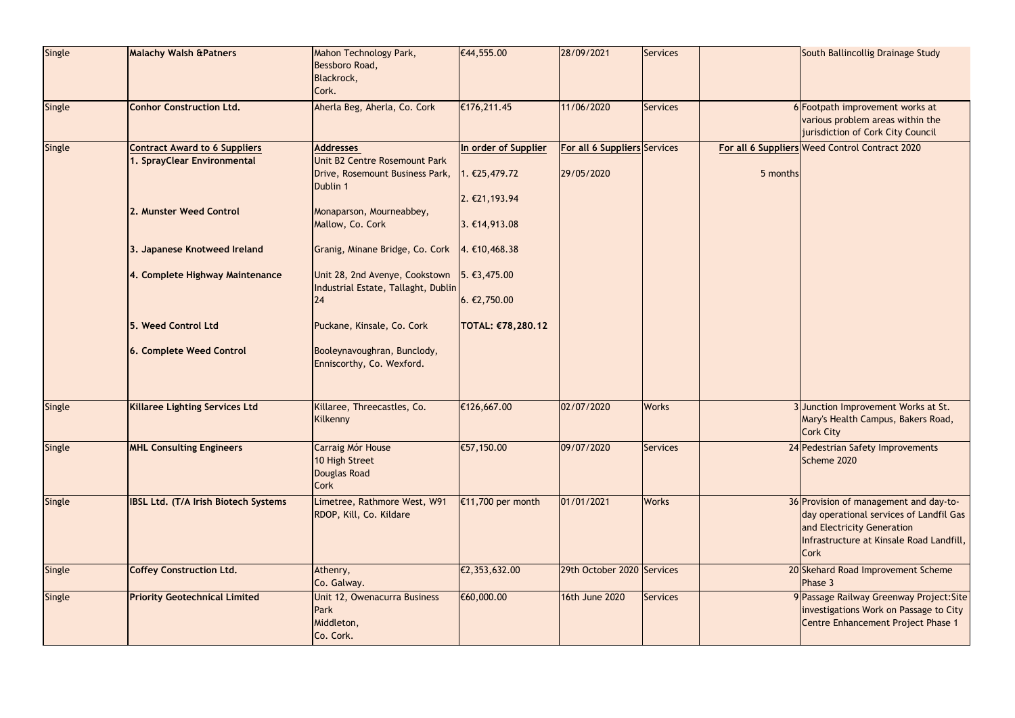| Single        | <b>Malachy Walsh &amp;Patners</b>                                   | Mahon Technology Park,<br>Bessboro Road,<br>Blackrock,<br>Cork.                                                   | €44,555.00                                                     | 28/09/2021                                        | Services     |          | South Ballincollig Drainage Study                                                                                                                                          |
|---------------|---------------------------------------------------------------------|-------------------------------------------------------------------------------------------------------------------|----------------------------------------------------------------|---------------------------------------------------|--------------|----------|----------------------------------------------------------------------------------------------------------------------------------------------------------------------------|
| <b>Single</b> | <b>Conhor Construction Ltd.</b>                                     | Aherla Beg, Aherla, Co. Cork                                                                                      | €176,211.45                                                    | 11/06/2020                                        | Services     |          | 6 Footpath improvement works at<br>various problem areas within the<br>jurisdiction of Cork City Council                                                                   |
| <b>Single</b> | <b>Contract Award to 6 Suppliers</b><br>1. SprayClear Environmental | <b>Addresses</b><br>Unit B2 Centre Rosemount Park<br>Drive, Rosemount Business Park,<br>Dublin 1                  | In order of Supplier<br>$. \epsilon$ 25,479.72<br>2.€21,193.94 | <b>For all 6 Suppliers</b> Services<br>29/05/2020 |              | 5 months | For all 6 Suppliers Weed Control Contract 2020                                                                                                                             |
|               | 2. Munster Weed Control                                             | Monaparson, Mourneabbey,<br>Mallow, Co. Cork                                                                      | 3.€14,913.08                                                   |                                                   |              |          |                                                                                                                                                                            |
|               | 3. Japanese Knotweed Ireland                                        | Granig, Minane Bridge, Co. Cork                                                                                   | 4, €10,468.38                                                  |                                                   |              |          |                                                                                                                                                                            |
|               | 4. Complete Highway Maintenance                                     | Unit 28, 2nd Avenye, Cookstown $\left 5, \in \text{3,475.00}\right $<br>Industrial Estate, Tallaght, Dublin<br>24 | 6. €2,750.00                                                   |                                                   |              |          |                                                                                                                                                                            |
|               | <b>5. Weed Control Ltd</b>                                          | Puckane, Kinsale, Co. Cork                                                                                        | TOTAL: €78,280.12                                              |                                                   |              |          |                                                                                                                                                                            |
|               | 6. Complete Weed Control                                            | Booleynavoughran, Bunclody,<br>Enniscorthy, Co. Wexford.                                                          |                                                                |                                                   |              |          |                                                                                                                                                                            |
| <b>Single</b> | <b>Killaree Lighting Services Ltd</b>                               | Killaree, Threecastles, Co.<br><b>Kilkenny</b>                                                                    | €126,667.00                                                    | 02/07/2020                                        | <b>Works</b> |          | 3Junction Improvement Works at St.<br>Mary's Health Campus, Bakers Road,<br>Cork City                                                                                      |
| <b>Single</b> | <b>MHL Consulting Engineers</b>                                     | Carraig Mór House<br>10 High Street<br><b>Douglas Road</b><br><b>Cork</b>                                         | €57,150.00                                                     | 09/07/2020                                        | Services     |          | 24 Pedestrian Safety Improvements<br>Scheme 2020                                                                                                                           |
| Single        | <b>IBSL Ltd. (T/A Irish Biotech Systems</b>                         | Limetree, Rathmore West, W91<br>RDOP, Kill, Co. Kildare                                                           | €11,700 per month                                              | 01/01/2021                                        | <b>Works</b> |          | 36 Provision of management and day-to-<br>day operational services of Landfil Gas<br>and Electricity Generation<br>Infrastructure at Kinsale Road Landfill,<br><b>Cork</b> |
| <b>Single</b> | <b>Coffey Construction Ltd.</b>                                     | Athenry,<br>Co. Galway.                                                                                           | €2,353,632.00                                                  | 29th October 2020 Services                        |              |          | 20 Skehard Road Improvement Scheme<br>Phase 3                                                                                                                              |
| <b>Single</b> | <b>Priority Geotechnical Limited</b>                                | Unit 12, Owenacurra Business<br>Park<br>Middleton,<br>Co. Cork.                                                   | €60,000.00                                                     | 16th June 2020                                    | Services     |          | 9 Passage Railway Greenway Project: Site<br>investigations Work on Passage to City<br>Centre Enhancement Project Phase 1                                                   |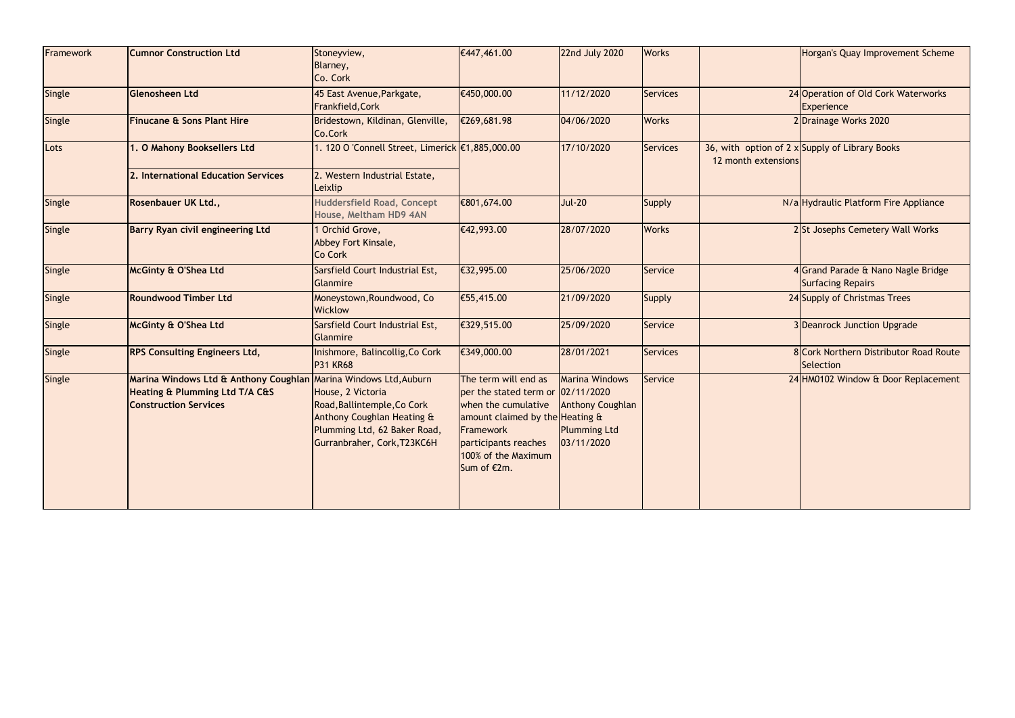| Framework     | <b>Cumnor Construction Ltd</b>                                                                                                     | Stoneyview,<br>Blarney,<br>Co. Cork                                                                                                           | €447,461.00                                                                                                                                                                                            | 22nd July 2020                                                                        | <b>Works</b>  |                     | Horgan's Quay Improvement Scheme                               |
|---------------|------------------------------------------------------------------------------------------------------------------------------------|-----------------------------------------------------------------------------------------------------------------------------------------------|--------------------------------------------------------------------------------------------------------------------------------------------------------------------------------------------------------|---------------------------------------------------------------------------------------|---------------|---------------------|----------------------------------------------------------------|
| <b>Single</b> | Glenosheen Ltd                                                                                                                     | 45 East Avenue, Parkgate,<br>Frankfield, Cork                                                                                                 | €450,000.00                                                                                                                                                                                            | 11/12/2020                                                                            | Services      |                     | 24 Operation of Old Cork Waterworks<br><b>Experience</b>       |
| Single        | <b>Finucane &amp; Sons Plant Hire</b>                                                                                              | Bridestown, Kildinan, Glenville,<br>Co.Cork                                                                                                   | €269,681.98                                                                                                                                                                                            | 04/06/2020                                                                            | <b>Works</b>  |                     | 2Drainage Works 2020                                           |
| Lots          | 1. O Mahony Booksellers Ltd                                                                                                        | 1. 120 O 'Connell Street, Limerick £1,885,000.00                                                                                              |                                                                                                                                                                                                        | 17/10/2020                                                                            | Services      | 12 month extensions | 36, with option of $2 \times$ Supply of Library Books          |
|               | 2. International Education Services                                                                                                | 2. Western Industrial Estate,<br>Leixlip                                                                                                      |                                                                                                                                                                                                        |                                                                                       |               |                     |                                                                |
| <b>Single</b> | <b>Rosenbauer UK Ltd.,</b>                                                                                                         | <b>Huddersfield Road, Concept</b><br>House, Meltham HD9 4AN                                                                                   | €801,674.00                                                                                                                                                                                            | <b>Jul-20</b>                                                                         | <b>Supply</b> |                     | N/a Hydraulic Platform Fire Appliance                          |
| <b>Single</b> | <b>Barry Ryan civil engineering Ltd</b>                                                                                            | 1 Orchid Grove,<br>Abbey Fort Kinsale,<br>Co Cork                                                                                             | €42,993.00                                                                                                                                                                                             | 28/07/2020                                                                            | <b>Works</b>  |                     | 2 St Josephs Cemetery Wall Works                               |
| <b>Single</b> | <b>McGinty &amp; O'Shea Ltd</b>                                                                                                    | Sarsfield Court Industrial Est,<br>Glanmire                                                                                                   | €32,995.00                                                                                                                                                                                             | 25/06/2020                                                                            | Service       |                     | 4 Grand Parade & Nano Nagle Bridge<br><b>Surfacing Repairs</b> |
| Single        | <b>Roundwood Timber Ltd</b>                                                                                                        | Moneystown, Roundwood, Co<br><b>Wicklow</b>                                                                                                   | €55,415.00                                                                                                                                                                                             | 21/09/2020                                                                            | Supply        |                     | 24 Supply of Christmas Trees                                   |
| <b>Single</b> | <b>McGinty &amp; O'Shea Ltd</b>                                                                                                    | Sarsfield Court Industrial Est,<br><b>Glanmire</b>                                                                                            | €329,515.00                                                                                                                                                                                            | 25/09/2020                                                                            | Service       |                     | 3 Deanrock Junction Upgrade                                    |
| <b>Single</b> | <b>RPS Consulting Engineers Ltd,</b>                                                                                               | Inishmore, Balincollig, Co Cork<br><b>P31 KR68</b>                                                                                            | €349,000.00                                                                                                                                                                                            | 28/01/2021                                                                            | Services      |                     | 8 Cork Northern Distributor Road Route<br>Selection            |
| <b>Single</b> | Marina Windows Ltd & Anthony Coughlan Marina Windows Ltd, Auburn<br>Heating & Plumming Ltd T/A C&S<br><b>Construction Services</b> | House, 2 Victoria<br>Road, Ballintemple, Co Cork<br>Anthony Coughlan Heating &<br>Plumming Ltd, 62 Baker Road,<br>Gurranbraher, Cork, T23KC6H | The term will end as<br>per the stated term or  02/11/2020<br>when the cumulative<br>amount claimed by the Heating $\alpha$<br>Framework<br>participants reaches<br>100% of the Maximum<br>Sum of €2m. | <b>Marina Windows</b><br><b>Anthony Coughlan</b><br><b>Plumming Ltd</b><br>03/11/2020 | Service       |                     | 24 HM0102 Window & Door Replacement                            |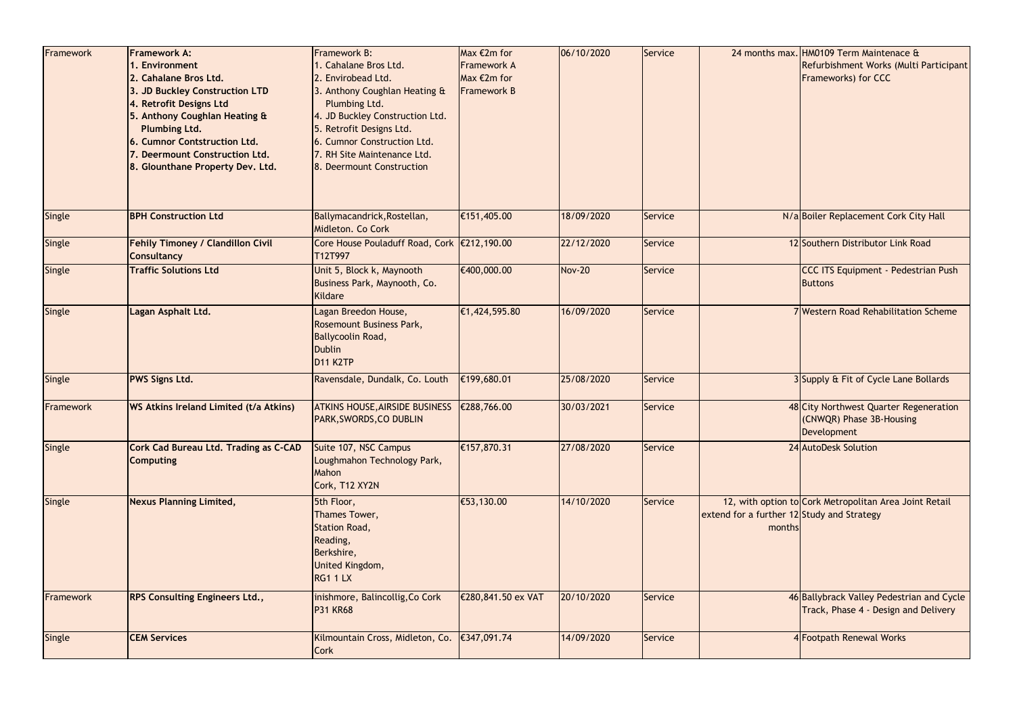| Framework | <b>Framework A:</b><br>1. Environment<br>2. Cahalane Bros Ltd.<br>3. JD Buckley Construction LTD<br>4. Retrofit Designs Ltd<br>5. Anthony Coughlan Heating &<br><b>Plumbing Ltd.</b><br>6. Cumnor Contstruction Ltd.<br>7. Deermount Construction Ltd.<br>8. Glounthane Property Dev. Ltd. | <b>Framework B:</b><br><b>Cahalane Bros Ltd.</b><br>2. Envirobead Ltd.<br>3. Anthony Coughlan Heating &<br>Plumbing Ltd.<br>4. JD Buckley Construction Ltd.<br>5. Retrofit Designs Ltd.<br>6. Cumnor Construction Ltd.<br>7. RH Site Maintenance Ltd.<br>8. Deermount Construction | Max $\notin$ 2m for<br><b>Framework A</b><br>Max €2m for<br><b>Framework B</b> | 06/10/2020    | Service |                                                      | 24 months max. HM0109 Term Maintenace &<br>Refurbishment Works (Multi Participant<br><b>Frameworks)</b> for CCC |
|-----------|--------------------------------------------------------------------------------------------------------------------------------------------------------------------------------------------------------------------------------------------------------------------------------------------|------------------------------------------------------------------------------------------------------------------------------------------------------------------------------------------------------------------------------------------------------------------------------------|--------------------------------------------------------------------------------|---------------|---------|------------------------------------------------------|-----------------------------------------------------------------------------------------------------------------|
| Single    | <b>BPH Construction Ltd</b>                                                                                                                                                                                                                                                                | Ballymacandrick, Rostellan,<br>Midleton. Co Cork                                                                                                                                                                                                                                   | €151,405.00                                                                    | 18/09/2020    | Service |                                                      | N/a Boiler Replacement Cork City Hall                                                                           |
| Single    | <b>Fehily Timoney / Clandillon Civil</b><br><b>Consultancy</b>                                                                                                                                                                                                                             | Core House Pouladuff Road, Cork   €212,190.00<br>T12T997                                                                                                                                                                                                                           |                                                                                | 22/12/2020    | Service |                                                      | 12 Southern Distributor Link Road                                                                               |
| Single    | <b>Traffic Solutions Ltd</b>                                                                                                                                                                                                                                                               | Unit 5, Block k, Maynooth<br>Business Park, Maynooth, Co.<br>Kildare                                                                                                                                                                                                               | €400,000.00                                                                    | <b>Nov-20</b> | Service |                                                      | CCC ITS Equipment - Pedestrian Push<br><b>Buttons</b>                                                           |
| Single    | Lagan Asphalt Ltd.                                                                                                                                                                                                                                                                         | Lagan Breedon House,<br>Rosemount Business Park,<br><b>Ballycoolin Road,</b><br>Dublin<br>D11 K2TP                                                                                                                                                                                 | €1,424,595.80                                                                  | 16/09/2020    | Service |                                                      | 7 Western Road Rehabilitation Scheme                                                                            |
| Single    | <b>PWS Signs Ltd.</b>                                                                                                                                                                                                                                                                      | Ravensdale, Dundalk, Co. Louth                                                                                                                                                                                                                                                     | €199,680.01                                                                    | 25/08/2020    | Service |                                                      | 3 Supply & Fit of Cycle Lane Bollards                                                                           |
| Framework | WS Atkins Ireland Limited (t/a Atkins)                                                                                                                                                                                                                                                     | <b>ATKINS HOUSE, AIRSIDE BUSINESS</b><br><b>PARK, SWORDS, CO DUBLIN</b>                                                                                                                                                                                                            | €288,766.00                                                                    | 30/03/2021    | Service |                                                      | 48 City Northwest Quarter Regeneration<br>(CNWQR) Phase 3B-Housing<br>Development                               |
| Single    | Cork Cad Bureau Ltd. Trading as C-CAD<br><b>Computing</b>                                                                                                                                                                                                                                  | Suite 107, NSC Campus<br>Loughmahon Technology Park,<br>Mahon<br>Cork, T12 XY2N                                                                                                                                                                                                    | €157,870.31                                                                    | 27/08/2020    | Service |                                                      | 24 AutoDesk Solution                                                                                            |
| Single    | <b>Nexus Planning Limited,</b>                                                                                                                                                                                                                                                             | 5th Floor,<br>Thames Tower,<br>Station Road,<br>Reading,<br>Berkshire,<br>United Kingdom,<br><b>RG1 1 LX</b>                                                                                                                                                                       | €53,130.00                                                                     | 14/10/2020    | Service | extend for a further 12 Study and Strategy<br>months | 12, with option to Cork Metropolitan Area Joint Retail                                                          |
| Framework | <b>RPS Consulting Engineers Ltd.,</b>                                                                                                                                                                                                                                                      | inishmore, Balincollig, Co Cork<br><b>P31 KR68</b>                                                                                                                                                                                                                                 | €280,841.50 ex VAT                                                             | 20/10/2020    | Service |                                                      | 46 Ballybrack Valley Pedestrian and Cycle<br>Track, Phase 4 - Design and Delivery                               |
| Single    | <b>CEM Services</b>                                                                                                                                                                                                                                                                        | Kilmountain Cross, Midleton, Co.<br><b>Cork</b>                                                                                                                                                                                                                                    | €347,091.74                                                                    | 14/09/2020    | Service |                                                      | 4 Footpath Renewal Works                                                                                        |

|        | ns max. HM0109 Term Maintenace &<br>Refurbishment Works (Multi Participant<br><b>Frameworks) for CCC</b> |
|--------|----------------------------------------------------------------------------------------------------------|
|        | N/a Boiler Replacement Cork City Hall                                                                    |
|        | 12 Southern Distributor Link Road                                                                        |
|        | <b>CCC ITS Equipment - Pedestrian Push</b><br><b>Buttons</b>                                             |
|        | 7 Western Road Rehabilitation Scheme                                                                     |
|        | 3 Supply & Fit of Cycle Lane Bollards                                                                    |
|        | 48 City Northwest Quarter Regeneration<br>(CNWQR) Phase 3B-Housing<br>Development                        |
|        | 24 AutoDesk Solution                                                                                     |
| months | ption to Cork Metropolitan Area Joint Retail<br>ther 12 Study and Strategy                               |
|        | 46 Ballybrack Valley Pedestrian and Cycle<br>Track, Phase 4 - Design and Delivery                        |
|        | 4 Footpath Renewal Works                                                                                 |